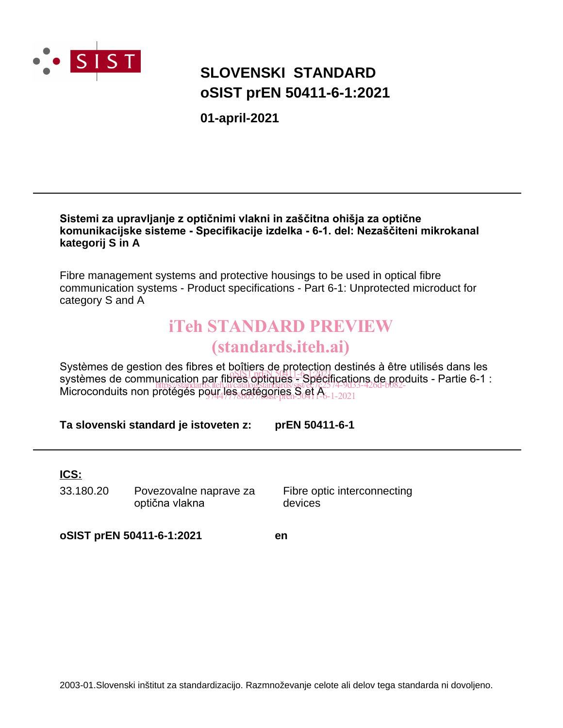

## **SLOVENSKI STANDARD oSIST prEN 50411-6-1:2021**

**01-april-2021**

### **Sistemi za upravljanje z optičnimi vlakni in zaščitna ohišja za optične komunikacijske sisteme - Specifikacije izdelka - 6-1. del: Nezaščiteni mikrokanal kategorij S in A**

Fibre management systems and protective housings to be used in optical fibre communication systems - Product specifications - Part 6-1: Unprotected microduct for category S and A

## iTeh STANDARD PREVIEW (standards.iteh.ai)

Systèmes de gestion des fibres et boîtiers de protection destinés à être utilisés dans les Systèmes de goulon des libres et performats provinciales de circulinese dans les<br>systèmes de communication par fibres optiques - Spécifications de produits - Partie 6-1 : Microconduits non protégés pour les catégories S et A https://standards.iteh.ai/catalog/standards/sist/ec7c2574-9d33-426d-b082- 37447778b037/osist-pren-50411-6-1-2021

**Ta slovenski standard je istoveten z: prEN 50411-6-1**

## **ICS:**

33.180.20 Povezovalne naprave za optična vlakna

Fibre optic interconnecting devices

**oSIST prEN 50411-6-1:2021 en**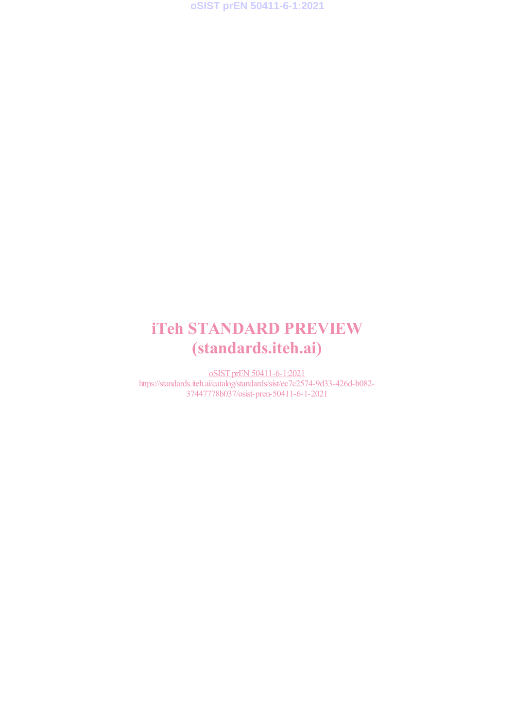**oSIST prEN 50411-6-1:2021**

## iTeh STANDARD PREVIEW (standards.iteh.ai)

oSIST prEN 50411-6-1:2021 https://standards.iteh.ai/catalog/standards/sist/ec7c2574-9d33-426d-b082- 37447778b037/osist-pren-50411-6-1-2021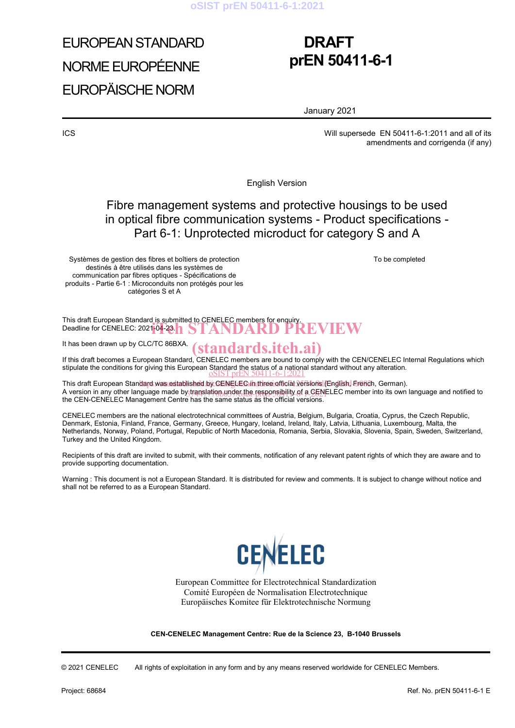# EUROPEAN STANDARD NORME EUROPÉENNE EUROPÄISCHE NORM

## **DRAFT prEN 50411-6-1**

January 2021

ICS Will supersede EN 50411-6-1:2011 and all of its amendments and corrigenda (if any)

English Version

## Fibre management systems and protective housings to be used in optical fibre communication systems - Product specifications - Part 6-1: Unprotected microduct for category S and A

To be completed

Systèmes de gestion des fibres et boîtiers de protection destinés à être utilisés dans les systèmes de communication par fibres optiques - Spécifications de produits - Partie 6-1 : Microconduits non protégés pour les catégories S et A

This draft European Standard is submitted to CENELEC members for enquiry. Deadline for CENELEC: 2021-04-23. **ISTANDARD PREVIEW** 

It has been drawn up by CLC/TC 86BXA. (standards.iteh.ai)

If this draft becomes a European Standard, CENELEC members are bound to comply with the CEN/CENELEC Internal Regulations which stipulate the conditions for giving this European Standard the status of a national standard without any alteration.<br>OSIST prEN 50411-6-1:2021

This draft European Standard was established by CENELEC in three official versions (English, French, German). A version in any other language made by translation under the responsibility of a CENELEC member into its own language and notified to the CENEL COMBINERY CONTINUES Management Central of the United States of the CENEL COMB the CEN-CENELEC Management Centre has the same status as the official versions.

CENELEC members are the national electrotechnical committees of Austria, Belgium, Bulgaria, Croatia, Cyprus, the Czech Republic, Denmark, Estonia, Finland, France, Germany, Greece, Hungary, Iceland, Ireland, Italy, Latvia, Lithuania, Luxembourg, Malta, the Netherlands, Norway, Poland, Portugal, Republic of North Macedonia, Romania, Serbia, Slovakia, Slovenia, Spain, Sweden, Switzerland, Turkey and the United Kingdom.

Recipients of this draft are invited to submit, with their comments, notification of any relevant patent rights of which they are aware and to provide supporting documentation.

Warning : This document is not a European Standard. It is distributed for review and comments. It is subject to change without notice and shall not be referred to as a European Standard.



European Committee for Electrotechnical Standardization Comité Européen de Normalisation Electrotechnique Europäisches Komitee für Elektrotechnische Normung

**CEN-CENELEC Management Centre: Rue de la Science 23, B-1040 Brussels** 

© 2021 CENELEC All rights of exploitation in any form and by any means reserved worldwide for CENELEC Members.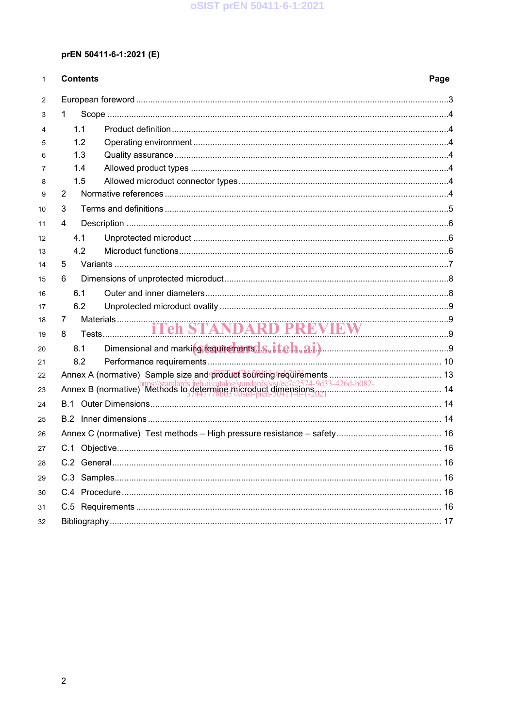| $\mathbf{1}$   | <b>Contents</b>                                                                                                                                 | Page |
|----------------|-------------------------------------------------------------------------------------------------------------------------------------------------|------|
| $\overline{c}$ |                                                                                                                                                 |      |
| 3              | 1                                                                                                                                               |      |
| 4              | 1.1                                                                                                                                             |      |
| 5              | 1.2                                                                                                                                             |      |
| 6              | 1.3                                                                                                                                             |      |
| 7              | 1.4                                                                                                                                             |      |
| 8              | 1.5                                                                                                                                             |      |
| 9              | 2                                                                                                                                               |      |
| 10             | 3                                                                                                                                               |      |
| 11             | 4                                                                                                                                               |      |
| 12             | 4.1                                                                                                                                             |      |
| 13             | 4.2                                                                                                                                             |      |
| 14             | 5                                                                                                                                               |      |
| 15             | 6                                                                                                                                               |      |
| 16             | 6.1                                                                                                                                             |      |
| 17             | 6.2                                                                                                                                             |      |
| 18             | 7                                                                                                                                               |      |
| 19             | 8                                                                                                                                               |      |
| 20             | 8.1                                                                                                                                             |      |
| 21             | 8.2                                                                                                                                             |      |
| 22             |                                                                                                                                                 |      |
| 23             | Annex B (normative) Methods to determine microduct dimensions 2-26d-b082-<br>Annex B (normative) Methods to determine microduct dimensions 2021 |      |
| 24             | B.1                                                                                                                                             |      |
| 25             |                                                                                                                                                 |      |
| 26             |                                                                                                                                                 |      |
| 27             |                                                                                                                                                 |      |
| 28             |                                                                                                                                                 |      |
| 29             |                                                                                                                                                 |      |
| 30             |                                                                                                                                                 |      |
| 31             |                                                                                                                                                 |      |
| 32             |                                                                                                                                                 |      |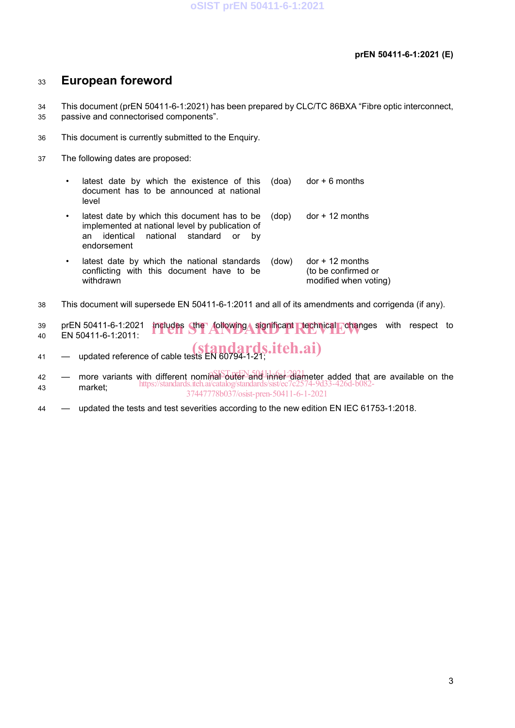### <sup>33</sup> **European foreword**

- 34 This document (prEN 50411-6-1:2021) has been prepared by CLC/TC 86BXA "Fibre optic interconnect, 35 passive and connectorised components".
- 36 This document is currently submitted to the Enquiry.
- 37 The following dates are proposed:
	- latest date by which the existence of this document has to be announced at national level  $(doa)$  dor  $+ 6$  months • latest date by which this document has to be implemented at national level by publication of<br>an identical national standard or by identical national standard or by endorsement (dop) dor + 12 months latest date by which the national standards conflicting with this document have to be withdrawn (dow) dor + 12 months (to be confirmed or modified when voting)
- 38 This document will supersede EN 50411-6-1:2011 and all of its amendments and corrigenda (if any).
- 39 prEN 50411-6-1:2021 **includes the following significant rechnical chan**ges with respect to EN 50411-6-1:2011: 40 EN 50411-6-1:2011:
- 41 updated reference of cable tests EN 60794-1-21;
- 42 more variants with different nominal outer and linner diameter added that are available on the 43 market; https://standards.iteh.ai/catalog/standards/sist/ec7c2574-9d33-426d-b082- 37447778b037/osist-pren-50411-6-1-2021
- 44 updated the tests and test severities according to the new edition EN IEC 61753-1:2018.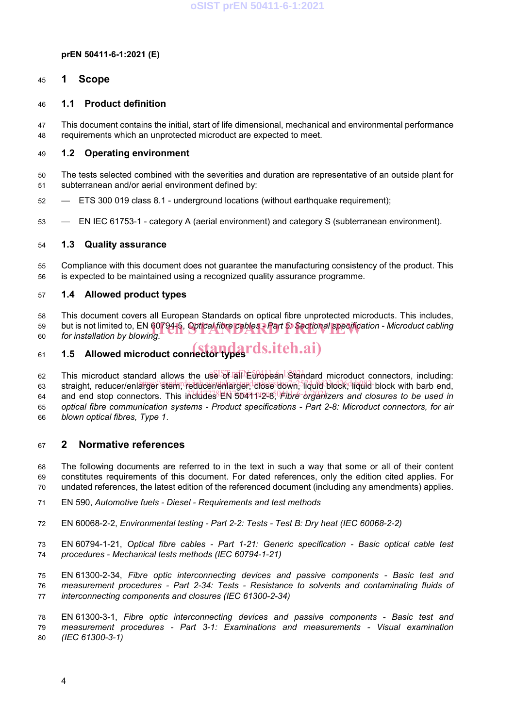#### **1 Scope**

#### **1.1 Product definition**

 This document contains the initial, start of life dimensional, mechanical and environmental performance requirements which an unprotected microduct are expected to meet.

#### **1.2 Operating environment**

- The tests selected combined with the severities and duration are representative of an outside plant for subterranean and/or aerial environment defined by:
- ETS 300 019 class 8.1 underground locations (without earthquake requirement);
- EN IEC 61753-1 category A (aerial environment) and category S (subterranean environment).

#### **1.3 Quality assurance**

 Compliance with this document does not guarantee the manufacturing consistency of the product. This is expected to be maintained using a recognized quality assurance programme.

#### **1.4 Allowed product types**

 This document covers all European Standards on optical fibre unprotected microducts. This includes, 59 but is not limited to, EN 60794-5, *Optical fibre cables - Part 5: Sectional specification - Microduct cabling*<br>60 *for installation by blowing* 

*for installation by blowing*.

# **1.5 Allowed microduct connector types** (standards.iteh.ai)

62 This microduct standard allows the use of all European Standard microduct connectors, including: 63 straight, reducer/enlarger/sterin; reducer/enlarger, elesse down, liquid block, liquid block with barb end, 64 and end stop connectors. This include<sup>s EN 5</sup>0411-2-8, <sup>or</sup>tibre organizers and closures to be used in *optical fibre communication systems - Product specifications - Part 2-8: Microduct connectors, for air blown optical fibres, Type 1*.

#### **2 Normative references**

 The following documents are referred to in the text in such a way that some or all of their content constitutes requirements of this document. For dated references, only the edition cited applies. For undated references, the latest edition of the referenced document (including any amendments) applies.

- EN 590, *Automotive fuels - Diesel - Requirements and test methods*
- EN 60068-2-2, *Environmental testing - Part 2-2: Tests - Test B: Dry heat (IEC 60068-2-2)*
- EN 60794-1-21, *Optical fibre cables - Part 1-21: Generic specification - Basic optical cable test procedures - Mechanical tests methods (IEC 60794-1-21)*

 EN 61300-2-34, *Fibre optic interconnecting devices and passive components - Basic test and measurement procedures - Part 2-34: Tests - Resistance to solvents and contaminating fluids of interconnecting components and closures (IEC 61300-2-34)*

 EN 61300-3-1, *Fibre optic interconnecting devices and passive components - Basic test and measurement procedures - Part 3-1: Examinations and measurements - Visual examination (IEC 61300-3-1)*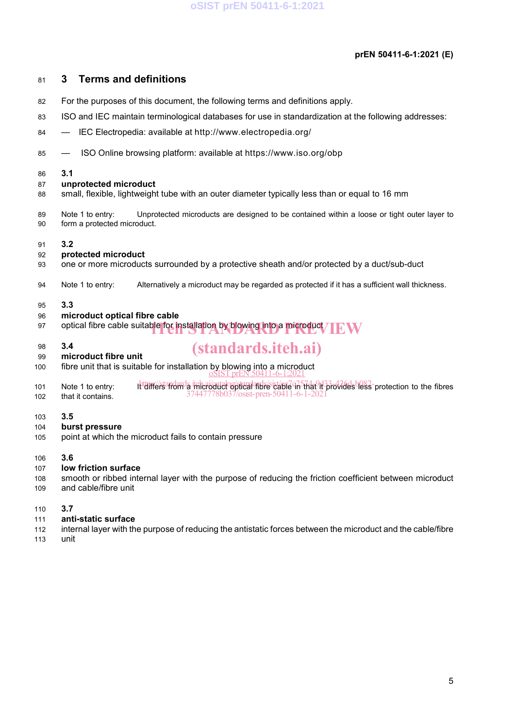## ISO and IEC maintain terminological databases for use in standardization at the following addresses: — IEC Electropedia: available at http://www.electropedia.org/ — ISO Online browsing platform: available at https://www.iso.org/obp **3.1 unprotected microduct** small, flexible, lightweight tube with an outer diameter typically less than or equal to 16 mm Note 1 to entry: Unprotected microducts are designed to be contained within a loose or tight outer layer to form a protected microduct. **3.2 protected microduct** one or more microducts surrounded by a protective sheath and/or protected by a duct/sub-duct Note 1 to entry: Alternatively a microduct may be regarded as protected if it has a sufficient wall thickness. **3.3 microduct optical fibre cable** 97 optical fibre cable suitable for installation by blowing into a microduct  $TEW$  **3.4 microduct fibre unit** fibre unit that is suitable for installation by blowing into a microduct oSIST prEN 50411-6-1:2021 101 Note 1 to entry: It different a interval of the contract of the capie of that it provides less protection to the fibres (standards.iteh.ai)

For the purposes of this document, the following terms and definitions apply.

 that it contains. 37447778b037/osist-pren-50411-6-1-2021

#### **3.5**

#### **burst pressure**

- point at which the microduct fails to contain pressure
- **3.6**

#### **low friction surface**

**3 Terms and definitions**

 smooth or ribbed internal layer with the purpose of reducing the friction coefficient between microduct and cable/fibre unit

#### **3.7**

#### **anti-static surface**

- internal layer with the purpose of reducing the antistatic forces between the microduct and the cable/fibre
- unit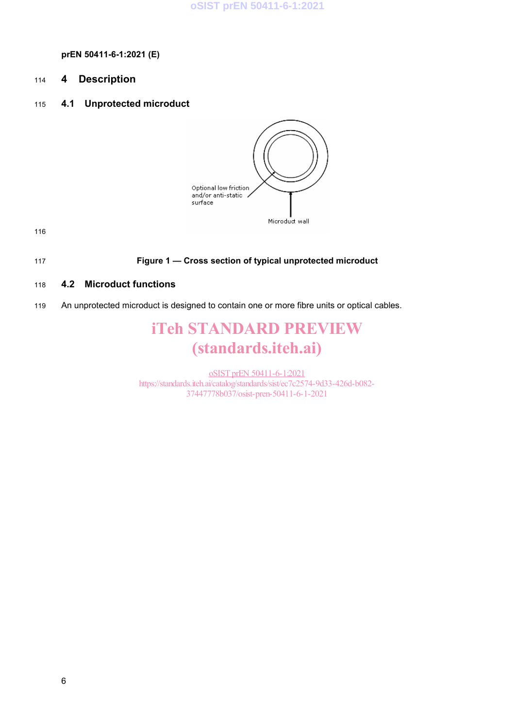#### <sup>114</sup> **4 Description**

#### 115 **4.1 Unprotected microduct**



116

#### 117 **Figure 1 — Cross section of typical unprotected microduct**

### 118 **4.2 Microduct functions**

119 An unprotected microduct is designed to contain one or more fibre units or optical cables.

## iTeh STANDARD PREVIEW (standards.iteh.ai)

oSIST prEN 50411-6-1:2021 https://standards.iteh.ai/catalog/standards/sist/ec7c2574-9d33-426d-b082- 37447778b037/osist-pren-50411-6-1-2021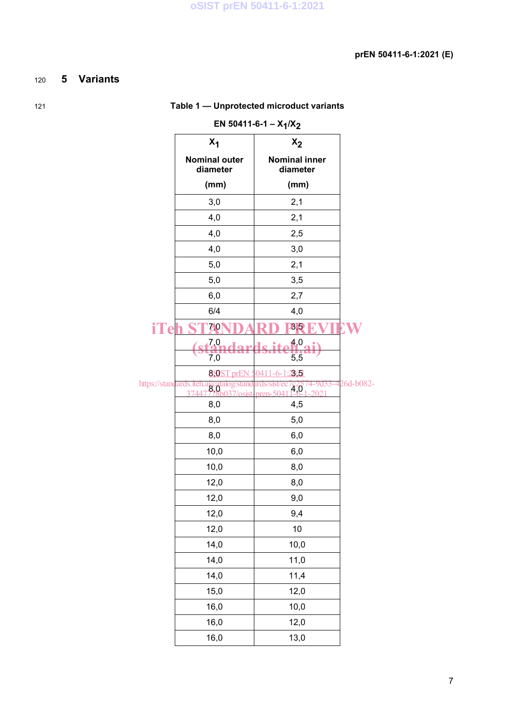### <sup>120</sup> **5 Variants**

#### 121 **Table 1 — Unprotected microduct variants**

## **EN** 50411-6-1 –  $X_1/X_2$

|                 | $x_1$                            | $x_2$                            |                 |
|-----------------|----------------------------------|----------------------------------|-----------------|
|                 | <b>Nominal outer</b><br>diameter | <b>Nominal inner</b><br>diameter |                 |
|                 | (mm)                             | (mm)                             |                 |
|                 | 3,0                              | 2,1                              |                 |
|                 | 4,0                              | 2,1                              |                 |
|                 | 4,0                              | 2,5                              |                 |
|                 | 4,0                              | 3,0                              |                 |
|                 | 5,0                              | 2,1                              |                 |
|                 | 5,0                              | 3,5                              |                 |
|                 | 6,0                              | 2,7                              |                 |
|                 | 6/4                              | 4,0                              |                 |
| iTe             | $\mathbb{Z}^0$                   | 3,5                              |                 |
|                 | 70                               | 4,0                              |                 |
|                 | 7,0                              | $\overline{5,5}$                 |                 |
|                 | 8,0ST<br>nrl                     | 202<br>04                        |                 |
| https://standar | ucata<br><del>P</del> rou        | $^{22}_{1-6}$                    | $-26d - b082 -$ |
|                 | 8,0                              | 4,5                              |                 |
|                 | 8,0                              | 5,0                              |                 |
|                 | 8,0                              | 6,0                              |                 |
|                 | 10,0                             | 6,0                              |                 |
|                 | 10,0                             | 8,0                              |                 |
|                 | 12,0                             | 8,0                              |                 |
|                 | 12,0                             | 9,0                              |                 |
|                 | 12,0                             | 9,4                              |                 |
|                 | 12,0                             | 10                               |                 |
|                 | 14,0                             | 10,0                             |                 |
|                 | 14,0                             | 11,0                             |                 |
|                 | 14,0                             | 11,4                             |                 |
|                 | 15,0                             | 12,0                             |                 |
|                 | 16,0                             | 10,0                             |                 |
|                 | 16,0                             | 12,0                             |                 |
|                 | 16,0                             | 13,0                             |                 |
|                 |                                  |                                  |                 |